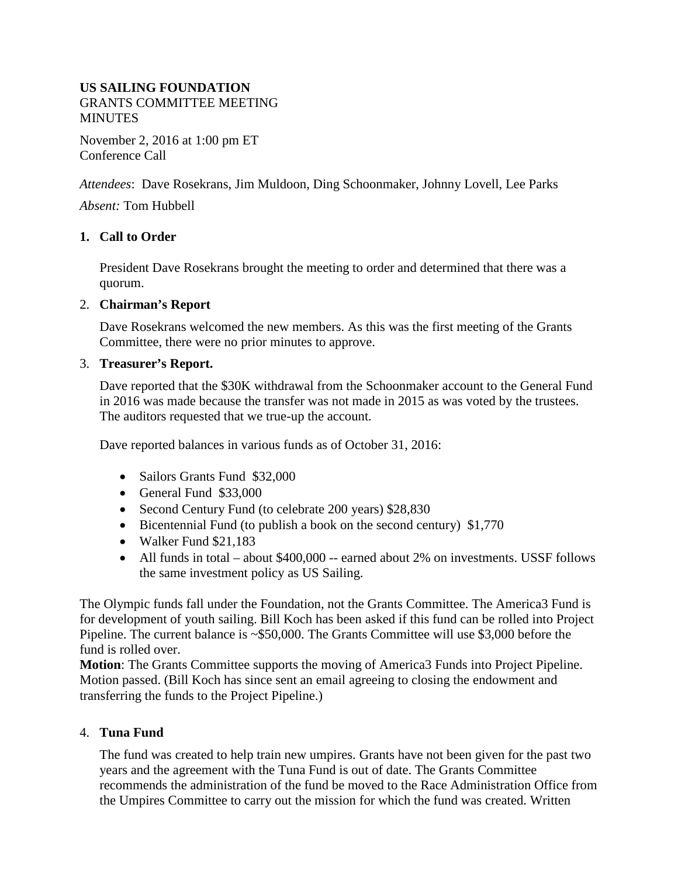### **US SAILING FOUNDATION** GRANTS COMMITTEE MEETING **MINUTES**

November 2, 2016 at 1:00 pm ET Conference Call

*Attendees*: Dave Rosekrans, Jim Muldoon, Ding Schoonmaker, Johnny Lovell, Lee Parks

*Absent:* Tom Hubbell

### **1. Call to Order**

President Dave Rosekrans brought the meeting to order and determined that there was a quorum.

#### 2. **Chairman's Report**

Dave Rosekrans welcomed the new members. As this was the first meeting of the Grants Committee, there were no prior minutes to approve.

#### 3. **Treasurer's Report.**

Dave reported that the \$30K withdrawal from the Schoonmaker account to the General Fund in 2016 was made because the transfer was not made in 2015 as was voted by the trustees. The auditors requested that we true-up the account*.*

Dave reported balances in various funds as of October 31, 2016:

- Sailors Grants Fund \$32,000
- General Fund \$33,000
- Second Century Fund (to celebrate 200 years) \$28,830
- Bicentennial Fund (to publish a book on the second century) \$1,770
- Walker Fund \$21,183
- All funds in total about \$400,000 -- earned about 2% on investments. USSF follows the same investment policy as US Sailing.

The Olympic funds fall under the Foundation, not the Grants Committee. The America3 Fund is for development of youth sailing. Bill Koch has been asked if this fund can be rolled into Project Pipeline. The current balance is ~\$50,000. The Grants Committee will use \$3,000 before the fund is rolled over.

**Motion**: The Grants Committee supports the moving of America3 Funds into Project Pipeline. Motion passed. (Bill Koch has since sent an email agreeing to closing the endowment and transferring the funds to the Project Pipeline.)

## 4. **Tuna Fund**

The fund was created to help train new umpires. Grants have not been given for the past two years and the agreement with the Tuna Fund is out of date. The Grants Committee recommends the administration of the fund be moved to the Race Administration Office from the Umpires Committee to carry out the mission for which the fund was created. Written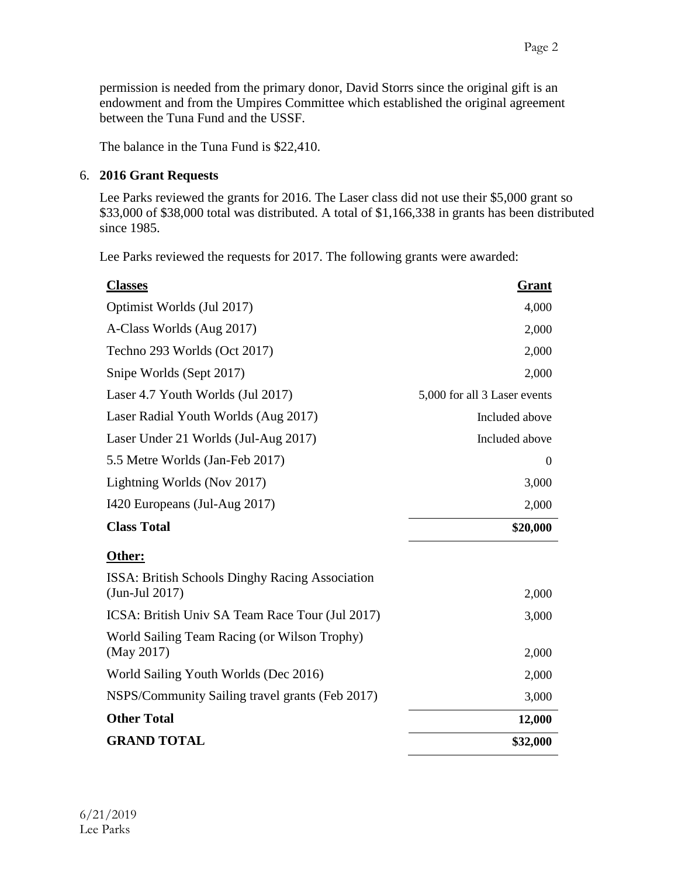The balance in the Tuna Fund is \$22,410.

# 6. **2016 Grant Requests**

Lee Parks reviewed the grants for 2016. The Laser class did not use their \$5,000 grant so \$33,000 of \$38,000 total was distributed. A total of \$1,166,338 in grants has been distributed since 1985.

Lee Parks reviewed the requests for 2017. The following grants were awarded:

| <b>Classes</b>                                                       | Grant                        |
|----------------------------------------------------------------------|------------------------------|
| Optimist Worlds (Jul 2017)                                           | 4,000                        |
| A-Class Worlds (Aug 2017)                                            | 2,000                        |
| Techno 293 Worlds (Oct 2017)                                         | 2,000                        |
| Snipe Worlds (Sept 2017)                                             | 2,000                        |
| Laser 4.7 Youth Worlds (Jul 2017)                                    | 5,000 for all 3 Laser events |
| Laser Radial Youth Worlds (Aug 2017)                                 | Included above               |
| Laser Under 21 Worlds (Jul-Aug 2017)                                 | Included above               |
| 5.5 Metre Worlds (Jan-Feb 2017)                                      | $\Omega$                     |
| Lightning Worlds (Nov 2017)                                          | 3,000                        |
| I420 Europeans (Jul-Aug 2017)                                        | 2,000                        |
| <b>Class Total</b>                                                   | \$20,000                     |
| Other:                                                               |                              |
| ISSA: British Schools Dinghy Racing Association<br>$(Jun$ -Jul 2017) | 2,000                        |
| ICSA: British Univ SA Team Race Tour (Jul 2017)                      | 3,000                        |
| World Sailing Team Racing (or Wilson Trophy)<br>(May 2017)           | 2,000                        |
| World Sailing Youth Worlds (Dec 2016)                                | 2,000                        |
| NSPS/Community Sailing travel grants (Feb 2017)                      | 3,000                        |
| <b>Other Total</b>                                                   | 12,000                       |
| <b>GRAND TOTAL</b>                                                   | \$32,000                     |